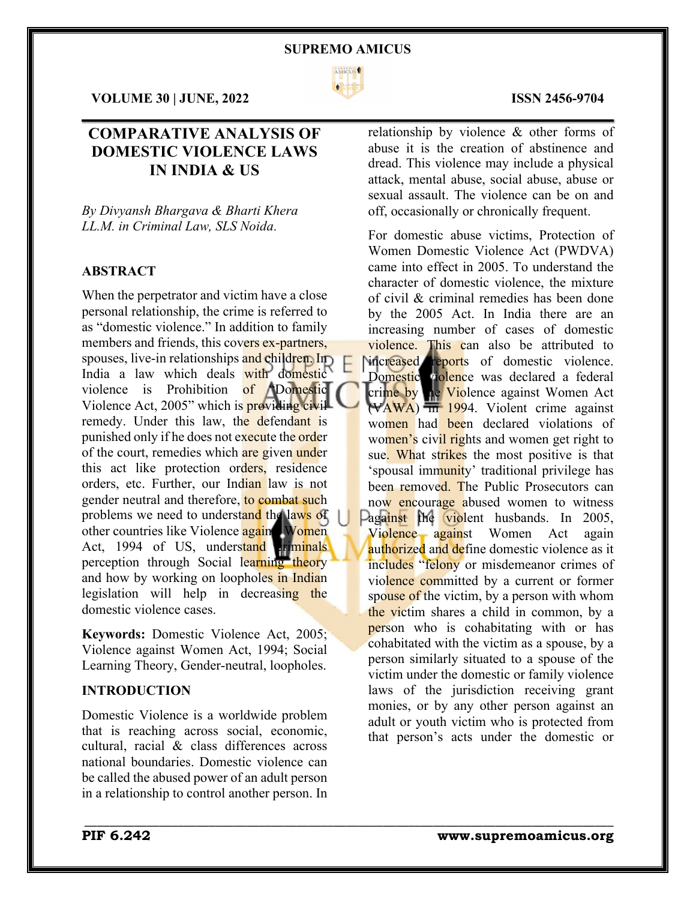

 $\mathcal{L}_\mathcal{L} = \mathcal{L}_\mathcal{L} = \mathcal{L}_\mathcal{L} = \mathcal{L}_\mathcal{L} = \mathcal{L}_\mathcal{L} = \mathcal{L}_\mathcal{L} = \mathcal{L}_\mathcal{L} = \mathcal{L}_\mathcal{L} = \mathcal{L}_\mathcal{L} = \mathcal{L}_\mathcal{L} = \mathcal{L}_\mathcal{L} = \mathcal{L}_\mathcal{L} = \mathcal{L}_\mathcal{L} = \mathcal{L}_\mathcal{L} = \mathcal{L}_\mathcal{L} = \mathcal{L}_\mathcal{L} = \mathcal{L}_\mathcal{L}$ 

\_\_\_\_\_\_\_\_\_\_\_\_\_\_\_\_\_\_\_\_\_\_\_\_\_\_\_\_\_\_\_\_\_\_\_\_\_\_\_\_\_\_\_\_\_\_\_\_\_\_\_\_\_\_\_\_\_\_\_\_\_\_\_\_\_\_\_\_\_\_\_\_\_\_\_\_\_\_\_\_\_\_\_\_\_

**VOLUME 30 | JUNE, 2022 ISSN 2456-9704**

## **COMPARATIVE ANALYSIS OF DOMESTIC VIOLENCE LAWS IN INDIA & US**

*By Divyansh Bhargava & Bharti Khera LL.M. in Criminal Law, SLS Noida*.

#### **ABSTRACT**

When the perpetrator and victim have a close personal relationship, the crime is referred to as "domestic violence." In addition to family members and friends, this covers ex-partners, spouses, live-in relationships and children. In India a law which deals with domestic violence is Prohibition of **"**Domestic Violence Act, 2005" which is **providing civil** remedy. Under this law, the defendant is punished only if he does not execute the order of the court, remedies which are given under this act like protection orders, residence orders, etc. Further, our Indian law is not gender neutral and therefore, to combat such problems we need to understand the laws of other countries like Violence again Women Act, 1994 of US, understand criminals perception through Social learning theory and how by working on loopholes in Indian legislation will help in decreasing the domestic violence cases.

**Keywords:** Domestic Violence Act, 2005; Violence against Women Act, 1994; Social Learning Theory, Gender-neutral, loopholes.

### **INTRODUCTION**

Domestic Violence is a worldwide problem that is reaching across social, economic, cultural, racial & class differences across national boundaries. Domestic violence can be called the abused power of an adult person in a relationship to control another person. In

relationship by violence & other forms of abuse it is the creation of abstinence and dread. This violence may include a physical attack, mental abuse, social abuse, abuse or sexual assault. The violence can be on and off, occasionally or chronically frequent.

For domestic abuse victims, Protection of Women Domestic Violence Act (PWDVA) came into effect in 2005. To understand the character of domestic violence, the mixture of civil & criminal remedies has been done by the 2005 Act. In India there are an increasing number of cases of domestic violence. This can also be attributed to increased reports of domestic violence. Domestic violence was declared a federal crime by the Violence against Women Act  $(VAWA)$   $\overline{m}$  1994. Violent crime against women had been declared violations of women's civil rights and women get right to sue. What strikes the most positive is that 'spousal immunity' traditional privilege has been removed. The Public Prosecutors can now encourage abused women to witness Pagainst the violent husbands. In 2005, Violence against Women Act again authorized and define domestic violence as it includes "felony or misdemeanor crimes of violence committed by a current or former spouse of the victim, by a person with whom the victim shares a child in common, by a person who is cohabitating with or has cohabitated with the victim as a spouse, by a person similarly situated to a spouse of the victim under the domestic or family violence laws of the jurisdiction receiving grant monies, or by any other person against an adult or youth victim who is protected from that person's acts under the domestic or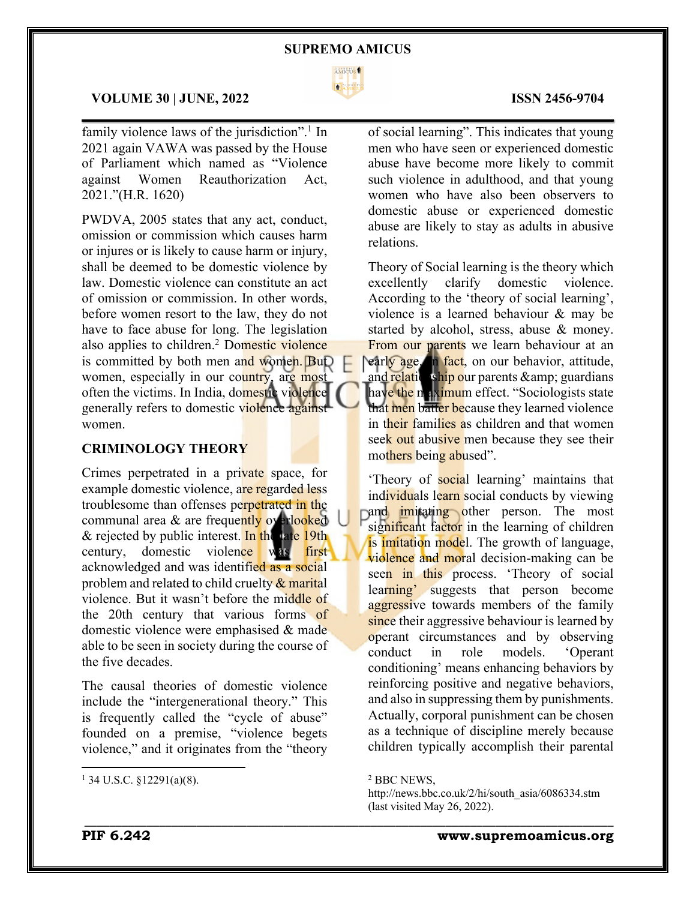

 $\mathcal{L}_\mathcal{L} = \mathcal{L}_\mathcal{L} = \mathcal{L}_\mathcal{L} = \mathcal{L}_\mathcal{L} = \mathcal{L}_\mathcal{L} = \mathcal{L}_\mathcal{L} = \mathcal{L}_\mathcal{L} = \mathcal{L}_\mathcal{L} = \mathcal{L}_\mathcal{L} = \mathcal{L}_\mathcal{L} = \mathcal{L}_\mathcal{L} = \mathcal{L}_\mathcal{L} = \mathcal{L}_\mathcal{L} = \mathcal{L}_\mathcal{L} = \mathcal{L}_\mathcal{L} = \mathcal{L}_\mathcal{L} = \mathcal{L}_\mathcal{L}$ 

#### **VOLUME 30 | JUNE, 2022 ISSN 2456-9704**

family violence laws of the jurisdiction".<sup>1</sup> In 2021 again VAWA was passed by the House of Parliament which named as "Violence against Women Reauthorization Act, 2021."(H.R. 1620)

PWDVA, 2005 states that any act, conduct, omission or commission which causes harm or injures or is likely to cause harm or injury, shall be deemed to be domestic violence by law. Domestic violence can constitute an act of omission or commission. In other words, before women resort to the law, they do not have to face abuse for long. The legislation also applies to children.<sup>2</sup> Domestic violence is committed by both men and women. But women, especially in our country, are most often the victims. In India, domestic violence generally refers to domestic violence against women.

### **CRIMINOLOGY THEORY**

Crimes perpetrated in a private space, for example domestic violence, are regarded less troublesome than offenses perpetrated in the communal area & are frequently overlooked & rejected by public interest. In the late  $19$ th century, domestic violence was first acknowledged and was identified as a social problem and related to child cruelty & marital violence. But it wasn't before the middle of the 20th century that various forms of domestic violence were emphasised & made able to be seen in society during the course of the five decades.

The causal theories of domestic violence include the "intergenerational theory." This is frequently called the "cycle of abuse" founded on a premise, "violence begets violence," and it originates from the "theory

of social learning". This indicates that young men who have seen or experienced domestic abuse have become more likely to commit such violence in adulthood, and that young women who have also been observers to domestic abuse or experienced domestic abuse are likely to stay as adults in abusive relations.

Theory of Social learning is the theory which excellently clarify domestic violence. According to the 'theory of social learning', violence is a learned behaviour & may be started by alcohol, stress, abuse & money. From our parents we learn behaviour at an early age. In fact, on our behavior, attitude, and relationship our parents & amp; guardians have the maximum effect. "Sociologists state that men batter because they learned violence in their families as children and that women seek out abusive men because they see their mothers being abused".

'Theory of social learning' maintains that individuals learn social conducts by viewing and *imitating* other person. The most significant factor in the learning of children is imitation model. The growth of language, violence and moral decision-making can be seen in this process. Theory of social learning' suggests that person become aggressive towards members of the family since their aggressive behaviour is learned by operant circumstances and by observing conduct in role models. 'Operant conditioning' means enhancing behaviors by reinforcing positive and negative behaviors, and also in suppressing them by punishments. Actually, corporal punishment can be chosen as a technique of discipline merely because children typically accomplish their parental

\_\_\_\_\_\_\_\_\_\_\_\_\_\_\_\_\_\_\_\_\_\_\_\_\_\_\_\_\_\_\_\_\_\_\_\_\_\_\_\_\_\_\_\_\_\_\_\_\_\_\_\_\_\_\_\_\_\_\_\_\_\_\_\_\_\_\_\_\_\_\_\_\_\_\_\_\_\_\_\_\_\_\_\_\_

 $1$  34 U.S.C. §12291(a)(8).

<sup>2</sup> BBC NEWS,

http://news.bbc.co.uk/2/hi/south\_asia/6086334.stm (last visited May 26, 2022).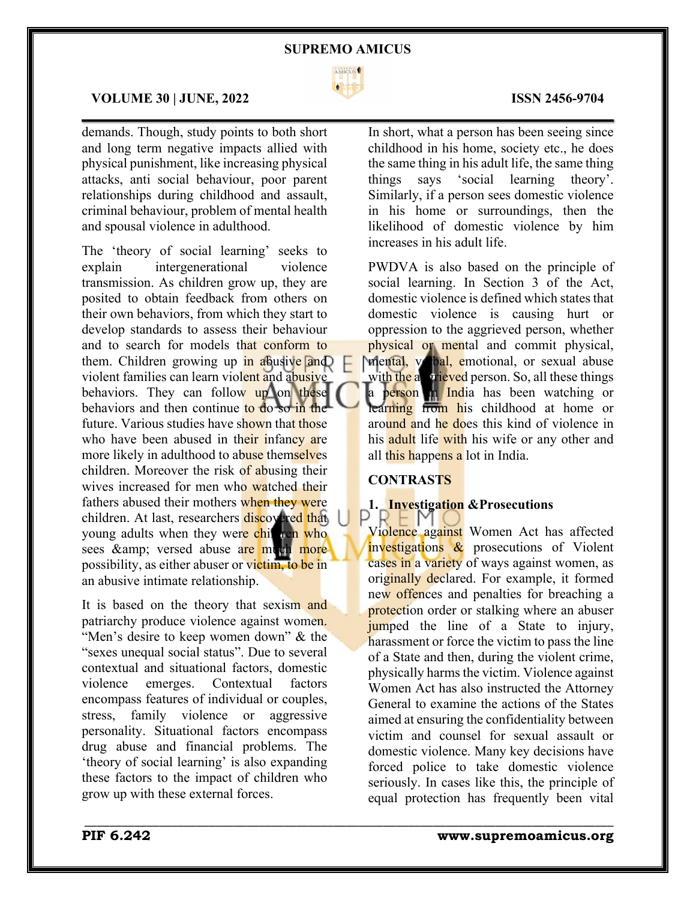

 $\mathcal{L}_\mathcal{L} = \mathcal{L}_\mathcal{L} = \mathcal{L}_\mathcal{L} = \mathcal{L}_\mathcal{L} = \mathcal{L}_\mathcal{L} = \mathcal{L}_\mathcal{L} = \mathcal{L}_\mathcal{L} = \mathcal{L}_\mathcal{L} = \mathcal{L}_\mathcal{L} = \mathcal{L}_\mathcal{L} = \mathcal{L}_\mathcal{L} = \mathcal{L}_\mathcal{L} = \mathcal{L}_\mathcal{L} = \mathcal{L}_\mathcal{L} = \mathcal{L}_\mathcal{L} = \mathcal{L}_\mathcal{L} = \mathcal{L}_\mathcal{L}$ 

#### **VOLUME 30 | JUNE, 2022 ISSN 2456-9704**

demands. Though, study points to both short and long term negative impacts allied with physical punishment, like increasing physical attacks, anti social behaviour, poor parent relationships during childhood and assault, criminal behaviour, problem of mental health and spousal violence in adulthood.

The 'theory of social learning' seeks to explain intergenerational violence transmission. As children grow up, they are posited to obtain feedback from others on their own behaviors, from which they start to develop standards to assess their behaviour and to search for models that conform to them. Children growing up in abusive and violent families can learn violent and abusive behaviors. They can follow up on these behaviors and then continue to do so in the future. Various studies have shown that those who have been abused in their infancy are more likely in adulthood to abuse themselves children. Moreover the risk of abusing their wives increased for men who watched their fathers abused their mothers when they were children. At last, researchers discovered that young adults when they were children who sees & amp; versed abuse are much more possibility, as either abuser or victim, to be in an abusive intimate relationship.

It is based on the theory that sexism and patriarchy produce violence against women. "Men's desire to keep women down" & the "sexes unequal social status". Due to several contextual and situational factors, domestic violence emerges. Contextual factors encompass features of individual or couples, stress, family violence or aggressive personality. Situational factors encompass drug abuse and financial problems. The 'theory of social learning' is also expanding these factors to the impact of children who grow up with these external forces.

In short, what a person has been seeing since childhood in his home, society etc., he does the same thing in his adult life, the same thing things says 'social learning theory'. Similarly, if a person sees domestic violence in his home or surroundings, then the likelihood of domestic violence by him increases in his adult life.

PWDVA is also based on the principle of social learning. In Section 3 of the Act, domestic violence is defined which states that domestic violence is causing hurt or oppression to the aggrieved person, whether physical or mental and commit physical, mental, vebal, emotional, or sexual abuse with the aggrieved person. So, all these things a person in India has been watching or learning from his childhood at home or around and he does this kind of violence in his **adult** life with his wife or any other and all this happens a lot in India.

#### **CONTRASTS**

\_\_\_\_\_\_\_\_\_\_\_\_\_\_\_\_\_\_\_\_\_\_\_\_\_\_\_\_\_\_\_\_\_\_\_\_\_\_\_\_\_\_\_\_\_\_\_\_\_\_\_\_\_\_\_\_\_\_\_\_\_\_\_\_\_\_\_\_\_\_\_\_\_\_\_\_\_\_\_\_\_\_\_\_\_

# **1. Investigation &Prosecutions**<br> $\begin{bmatrix} P & P \\ \end{bmatrix}$

Violence against Women Act has affected investigations & prosecutions of Violent cases in a variety of ways against women, as originally declared. For example, it formed new offences and penalties for breaching a protection order or stalking where an abuser jumped the line of a State to injury, harassment or force the victim to pass the line of a State and then, during the violent crime, physically harms the victim. Violence against Women Act has also instructed the Attorney General to examine the actions of the States aimed at ensuring the confidentiality between victim and counsel for sexual assault or domestic violence. Many key decisions have forced police to take domestic violence seriously. In cases like this, the principle of equal protection has frequently been vital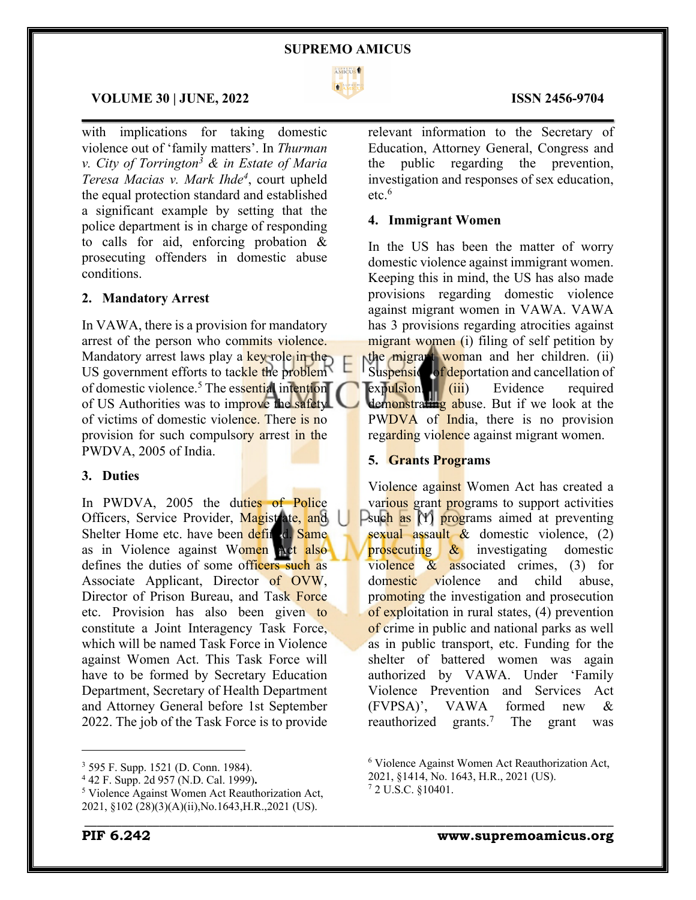

 $\mathcal{L}_\mathcal{L} = \mathcal{L}_\mathcal{L} = \mathcal{L}_\mathcal{L} = \mathcal{L}_\mathcal{L} = \mathcal{L}_\mathcal{L} = \mathcal{L}_\mathcal{L} = \mathcal{L}_\mathcal{L} = \mathcal{L}_\mathcal{L} = \mathcal{L}_\mathcal{L} = \mathcal{L}_\mathcal{L} = \mathcal{L}_\mathcal{L} = \mathcal{L}_\mathcal{L} = \mathcal{L}_\mathcal{L} = \mathcal{L}_\mathcal{L} = \mathcal{L}_\mathcal{L} = \mathcal{L}_\mathcal{L} = \mathcal{L}_\mathcal{L}$ 

#### **VOLUME 30 | JUNE, 2022 ISSN 2456-9704**

with implications for taking domestic violence out of 'family matters'. In *Thurman v. City of Torrington3 & in Estate of Maria Teresa Macias v. Mark Ihde4* , court upheld the equal protection standard and established a significant example by setting that the police department is in charge of responding to calls for aid, enforcing probation & prosecuting offenders in domestic abuse conditions.

#### **2. Mandatory Arrest**

In VAWA, there is a provision for mandatory arrest of the person who commits violence. Mandatory arrest laws play a key role in the US government efforts to tackle the problem of domestic violence.<sup>5</sup> The essential intention of US Authorities was to improve the safety of victims of domestic violence. There is no provision for such compulsory arrest in the PWDVA, 2005 of India.

#### **3. Duties**

In PWDVA, 2005 the duties of Police Officers, Service Provider, Magistrate, and Shelter Home etc. have been defined. Same as in Violence against Women Act also defines the duties of some officers such as Associate Applicant, Director of OVW, Director of Prison Bureau, and Task Force etc. Provision has also been given to constitute a Joint Interagency Task Force, which will be named Task Force in Violence against Women Act. This Task Force will have to be formed by Secretary Education Department, Secretary of Health Department and Attorney General before 1st September 2022. The job of the Task Force is to provide

<sup>3</sup> 595 F. Supp. 1521 (D. Conn. 1984).

relevant information to the Secretary of Education, Attorney General, Congress and the public regarding the prevention, investigation and responses of sex education, etc.6

#### **4. Immigrant Women**

In the US has been the matter of worry domestic violence against immigrant women. Keeping this in mind, the US has also made provisions regarding domestic violence against migrant women in VAWA. VAWA has 3 provisions regarding atrocities against migrant women (i) filing of self petition by the migrant woman and her children. (ii) Suspensic of deportation and cancellation of expulsion. (iii) Evidence required demonstrating abuse. But if we look at the PWDVA of India, there is no provision regarding violence against migrant women.

#### **5. Grants Programs**

Violence against Women Act has created a various grant programs to support activities  $\Box$  such as  $(1)$  programs aimed at preventing sexual assault & domestic violence, (2) prosecuting & investigating domestic violence & associated crimes, (3) for domestic violence and child abuse, promoting the investigation and prosecution of exploitation in rural states, (4) prevention of crime in public and national parks as well as in public transport, etc. Funding for the shelter of battered women was again authorized by VAWA. Under 'Family Violence Prevention and Services Act (FVPSA)', VAWA formed new & reauthorized grants.<sup>7</sup> The grant was

\_\_\_\_\_\_\_\_\_\_\_\_\_\_\_\_\_\_\_\_\_\_\_\_\_\_\_\_\_\_\_\_\_\_\_\_\_\_\_\_\_\_\_\_\_\_\_\_\_\_\_\_\_\_\_\_\_\_\_\_\_\_\_\_\_\_\_\_\_\_\_\_\_\_\_\_\_\_\_\_\_\_\_\_\_

<sup>4</sup> 42 F. Supp. 2d 957 (N.D. Cal. 1999)**.**

<sup>5</sup> Violence Against Women Act Reauthorization Act, 2021, §102 (28)(3)(A)(ii),No.1643,H.R.,2021 (US).

<sup>6</sup> Violence Against Women Act Reauthorization Act,

<sup>2021, §1414,</sup> No. 1643, H.R., 2021 (US).

<sup>7</sup> 2 U.S.C. §10401.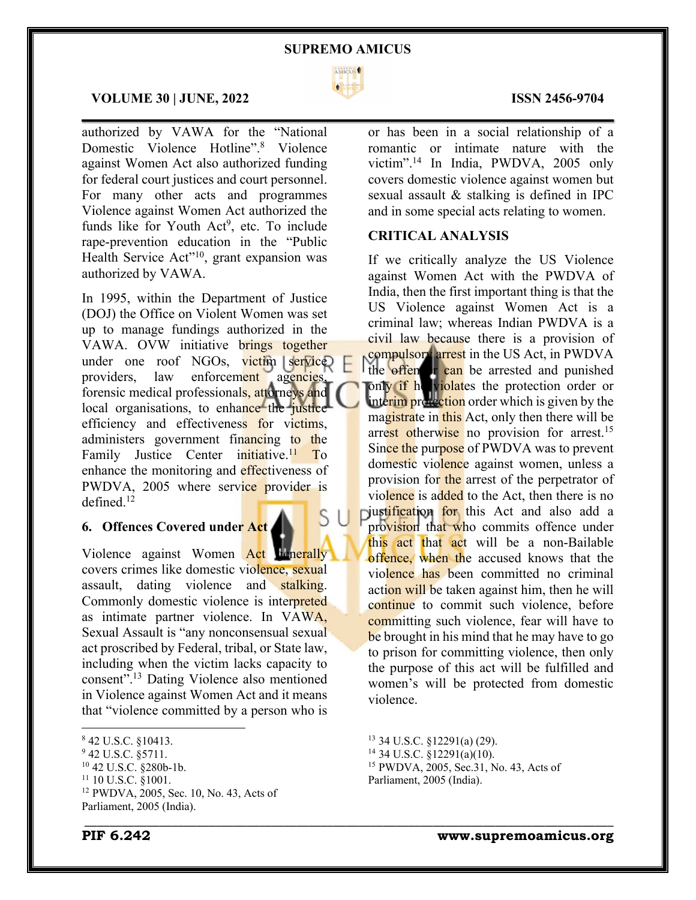

 $\mathcal{L}_\mathcal{L} = \mathcal{L}_\mathcal{L} = \mathcal{L}_\mathcal{L} = \mathcal{L}_\mathcal{L} = \mathcal{L}_\mathcal{L} = \mathcal{L}_\mathcal{L} = \mathcal{L}_\mathcal{L} = \mathcal{L}_\mathcal{L} = \mathcal{L}_\mathcal{L} = \mathcal{L}_\mathcal{L} = \mathcal{L}_\mathcal{L} = \mathcal{L}_\mathcal{L} = \mathcal{L}_\mathcal{L} = \mathcal{L}_\mathcal{L} = \mathcal{L}_\mathcal{L} = \mathcal{L}_\mathcal{L} = \mathcal{L}_\mathcal{L}$ 

#### **VOLUME 30 | JUNE, 2022 ISSN 2456-9704**

authorized by VAWA for the "National Domestic Violence Hotline".8 Violence against Women Act also authorized funding for federal court justices and court personnel. For many other acts and programmes Violence against Women Act authorized the funds like for Youth  $Act^9$ , etc. To include rape-prevention education in the "Public Health Service Act"<sup>10</sup>, grant expansion was authorized by VAWA.

In 1995, within the Department of Justice (DOJ) the Office on Violent Women was set up to manage fundings authorized in the VAWA. OVW initiative brings together under one roof NGOs, victim service providers, law enforcement agencies, forensic medical professionals, attorneys and local organisations, to enhance the justice efficiency and effectiveness for victims, administers government financing to the Family Justice Center initiative.<sup>11</sup> To enhance the monitoring and effectiveness of PWDVA, 2005 where service provider is defined.12

### **6. Offences Covered under Act**

Violence against Women Act tenerally covers crimes like domestic violence, sexual assault, dating violence and stalking. Commonly domestic violence is interpreted as intimate partner violence. In VAWA, Sexual Assault is "any nonconsensual sexual act proscribed by Federal, tribal, or State law, including when the victim lacks capacity to consent".13 Dating Violence also mentioned in Violence against Women Act and it means that "violence committed by a person who is

<sup>10</sup> 42 U.S.C. §280b-1b.

or has been in a social relationship of a romantic or intimate nature with the victim".14 In India, PWDVA, 2005 only covers domestic violence against women but sexual assault & stalking is defined in IPC and in some special acts relating to women.

### **CRITICAL ANALYSIS**

If we critically analyze the US Violence against Women Act with the PWDVA of India, then the first important thing is that the US Violence against Women Act is a criminal law; whereas Indian PWDVA is a civil law because there is a provision of compulsory arrest in the US Act, in PWDVA the offen or can be arrested and punished only if he violates the protection order or interim protection order which is given by the magistrate in this Act, only then there will be arrest otherwise no provision for arrest.<sup>15</sup> Since the purpose of PWDVA was to prevent domestic violence against women, unless a provision for the arrest of the perpetrator of violence is added to the Act, then there is no iustification for this Act and also add a provision that who commits offence under this act that act will be a non-Bailable offence, when the accused knows that the violence has been committed no criminal action will be taken against him, then he will continue to commit such violence, before committing such violence, fear will have to be brought in his mind that he may have to go to prison for committing violence, then only the purpose of this act will be fulfilled and women's will be protected from domestic violence.

\_\_\_\_\_\_\_\_\_\_\_\_\_\_\_\_\_\_\_\_\_\_\_\_\_\_\_\_\_\_\_\_\_\_\_\_\_\_\_\_\_\_\_\_\_\_\_\_\_\_\_\_\_\_\_\_\_\_\_\_\_\_\_\_\_\_\_\_\_\_\_\_\_\_\_\_\_\_\_\_\_\_\_\_\_

<sup>8</sup> 42 U.S.C. §10413.

<sup>&</sup>lt;sup>9</sup> 42 U.S.C. §5711.

<sup>&</sup>lt;sup>11</sup> 10 U.S.C. §1001.

<sup>12</sup> PWDVA, 2005, Sec. 10, No. 43, Acts of Parliament, 2005 (India).

<sup>13</sup> 34 U.S.C. §12291(a) (29). <sup>14</sup> 34 U.S.C. §12291(a)(10). <sup>15</sup> PWDVA, 2005, Sec.31, No. 43, Acts of Parliament, 2005 (India).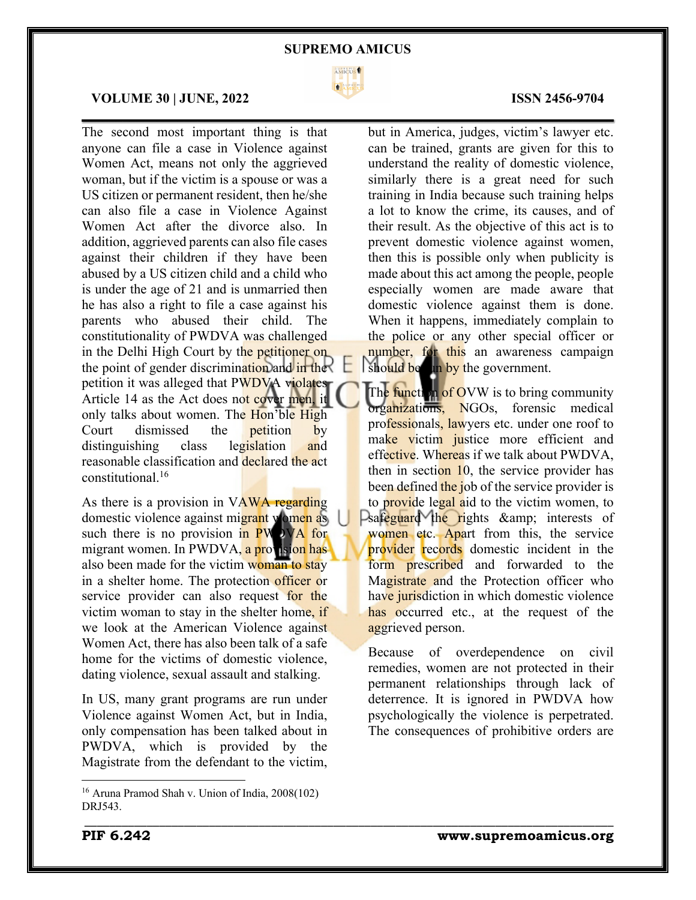

 $\mathcal{L}_\mathcal{L} = \mathcal{L}_\mathcal{L} = \mathcal{L}_\mathcal{L} = \mathcal{L}_\mathcal{L} = \mathcal{L}_\mathcal{L} = \mathcal{L}_\mathcal{L} = \mathcal{L}_\mathcal{L} = \mathcal{L}_\mathcal{L} = \mathcal{L}_\mathcal{L} = \mathcal{L}_\mathcal{L} = \mathcal{L}_\mathcal{L} = \mathcal{L}_\mathcal{L} = \mathcal{L}_\mathcal{L} = \mathcal{L}_\mathcal{L} = \mathcal{L}_\mathcal{L} = \mathcal{L}_\mathcal{L} = \mathcal{L}_\mathcal{L}$ 

\_\_\_\_\_\_\_\_\_\_\_\_\_\_\_\_\_\_\_\_\_\_\_\_\_\_\_\_\_\_\_\_\_\_\_\_\_\_\_\_\_\_\_\_\_\_\_\_\_\_\_\_\_\_\_\_\_\_\_\_\_\_\_\_\_\_\_\_\_\_\_\_\_\_\_\_\_\_\_\_\_\_\_\_\_

#### **VOLUME 30 | JUNE, 2022 ISSN 2456-9704**

The second most important thing is that anyone can file a case in Violence against Women Act, means not only the aggrieved woman, but if the victim is a spouse or was a US citizen or permanent resident, then he/she can also file a case in Violence Against Women Act after the divorce also. In addition, aggrieved parents can also file cases against their children if they have been abused by a US citizen child and a child who is under the age of 21 and is unmarried then he has also a right to file a case against his parents who abused their child. The constitutionality of PWDVA was challenged in the Delhi High Court by the petitioner on the point of gender discrimination and in the petition it was alleged that PWDVA violates Article 14 as the Act does not cover men, it only talks about women. The Hon'ble High Court dismissed the petition by distinguishing class legislation and reasonable classification and declared the act constitutional.16

As there is a provision in VAWA regarding domestic violence against migrant women as such there is no provision in  $PW$ ) VA for migrant women. In PWDVA, a provision has also been made for the victim woman to stay in a shelter home. The protection officer or service provider can also request for the victim woman to stay in the shelter home, if we look at the American Violence against Women Act, there has also been talk of a safe home for the victims of domestic violence, dating violence, sexual assault and stalking.

In US, many grant programs are run under Violence against Women Act, but in India, only compensation has been talked about in PWDVA, which is provided by the Magistrate from the defendant to the victim,

been defined the job of the service provider is to provide legal aid to the victim women, to  $\Box$ safeguard the rights & amp; interests of women etc. Apart from this, the service provider records domestic incident in the form prescribed and forwarded to the Magistrate and the Protection officer who have jurisdiction in which domestic violence has occurred etc., at the request of the aggrieved person.

The function of OVW is to bring community organizations, NGOs, forensic medical professionals, lawyers etc. under one roof to make victim justice more efficient and effective. Whereas if we talk about PWDVA, then in section 10, the service provider has

should be an by the government.

Because of overdependence on civil remedies, women are not protected in their permanent relationships through lack of deterrence. It is ignored in PWDVA how psychologically the violence is perpetrated. The consequences of prohibitive orders are

but in America, judges, victim's lawyer etc. can be trained, grants are given for this to understand the reality of domestic violence, similarly there is a great need for such training in India because such training helps a lot to know the crime, its causes, and of their result. As the objective of this act is to prevent domestic violence against women, then this is possible only when publicity is made about this act among the people, people especially women are made aware that domestic violence against them is done. When it happens, immediately complain to the police or any other special officer or number, for this an awareness campaign

<sup>16</sup> Aruna Pramod Shah v. Union of India, 2008(102) DRJ543.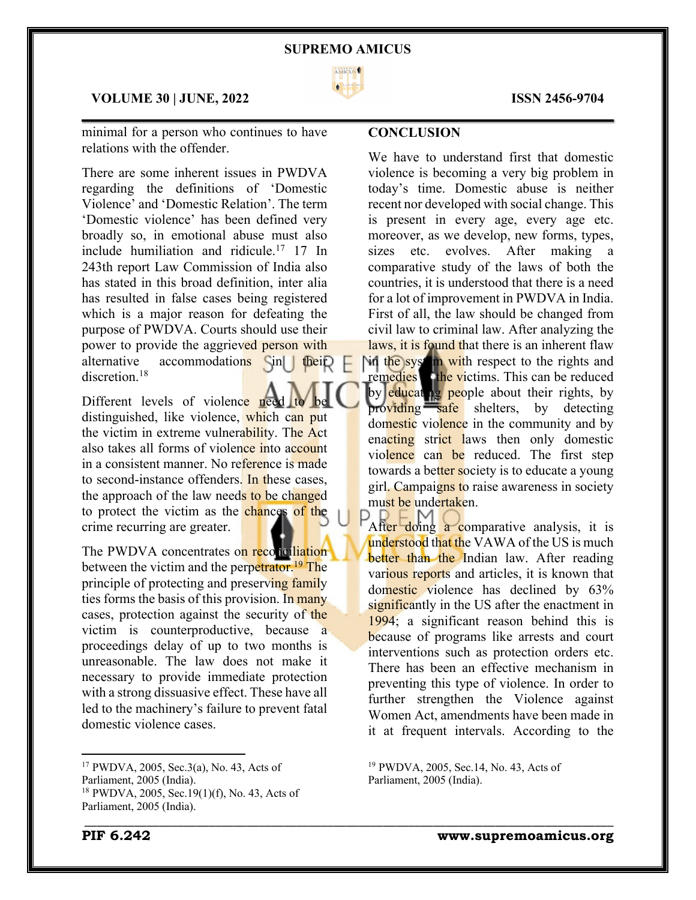

 $\mathcal{L}_\mathcal{L} = \mathcal{L}_\mathcal{L} = \mathcal{L}_\mathcal{L} = \mathcal{L}_\mathcal{L} = \mathcal{L}_\mathcal{L} = \mathcal{L}_\mathcal{L} = \mathcal{L}_\mathcal{L} = \mathcal{L}_\mathcal{L} = \mathcal{L}_\mathcal{L} = \mathcal{L}_\mathcal{L} = \mathcal{L}_\mathcal{L} = \mathcal{L}_\mathcal{L} = \mathcal{L}_\mathcal{L} = \mathcal{L}_\mathcal{L} = \mathcal{L}_\mathcal{L} = \mathcal{L}_\mathcal{L} = \mathcal{L}_\mathcal{L}$ 

\_\_\_\_\_\_\_\_\_\_\_\_\_\_\_\_\_\_\_\_\_\_\_\_\_\_\_\_\_\_\_\_\_\_\_\_\_\_\_\_\_\_\_\_\_\_\_\_\_\_\_\_\_\_\_\_\_\_\_\_\_\_\_\_\_\_\_\_\_\_\_\_\_\_\_\_\_\_\_\_\_\_\_\_\_

#### **VOLUME 30 | JUNE, 2022 ISSN 2456-9704**

minimal for a person who continues to have relations with the offender.

There are some inherent issues in PWDVA regarding the definitions of 'Domestic Violence' and 'Domestic Relation'. The term 'Domestic violence' has been defined very broadly so, in emotional abuse must also include humiliation and ridicule.<sup>17</sup> 17 In 243th report Law Commission of India also has stated in this broad definition, inter alia has resulted in false cases being registered which is a major reason for defeating the purpose of PWDVA. Courts should use their power to provide the aggrieved person with alternative accommodations  $\sin|\theta$  their discretion.<sup>18</sup>

Different levels of violence need distinguished, like violence, which can put the victim in extreme vulnerability. The Act also takes all forms of violence into account in a consistent manner. No reference is made to second-instance offenders. In these cases, the approach of the law needs to be changed to protect the victim as the chances of the crime recurring are greater.

The PWDVA concentrates on reconciliation between the victim and the perpetrator.<sup>19</sup> The principle of protecting and preserving family ties forms the basis of this provision. In many cases, protection against the security of the victim is counterproductive, because a proceedings delay of up to two months is unreasonable. The law does not make it necessary to provide immediate protection with a strong dissuasive effect. These have all led to the machinery's failure to prevent fatal domestic violence cases.

### **CONCLUSION**

We have to understand first that domestic violence is becoming a very big problem in today's time. Domestic abuse is neither recent nor developed with social change. This is present in every age, every age etc. moreover, as we develop, new forms, types, sizes etc. evolves. After making a comparative study of the laws of both the countries, it is understood that there is a need for a lot of improvement in PWDVA in India. First of all, the law should be changed from civil law to criminal law. After analyzing the laws, it is found that there is an inherent flaw

**in the system with respect to the rights and** remedies the victims. This can be reduced by educating people about their rights, by providing safe shelters, by detecting domestic violence in the community and by enacting strict laws then only domestic violence can be reduced. The first step towards a better society is to educate a young girl. Campaigns to raise awareness in society must be undertaken.

After doing a comparative analysis, it is understood that the VAWA of the US is much better than the Indian law. After reading various reports and articles, it is known that domestic violence has declined by 63% significantly in the US after the enactment in 1994; a significant reason behind this is because of programs like arrests and court interventions such as protection orders etc. There has been an effective mechanism in preventing this type of violence. In order to further strengthen the Violence against Women Act, amendments have been made in it at frequent intervals. According to the

<sup>19</sup> PWDVA, 2005, Sec.14, No. 43, Acts of

Parliament, 2005 (India).

<sup>17</sup> PWDVA, 2005, Sec.3(a), No. 43, Acts of Parliament, 2005 (India). <sup>18</sup> PWDVA, 2005, Sec.19(1)(f), No. 43, Acts of

Parliament, 2005 (India).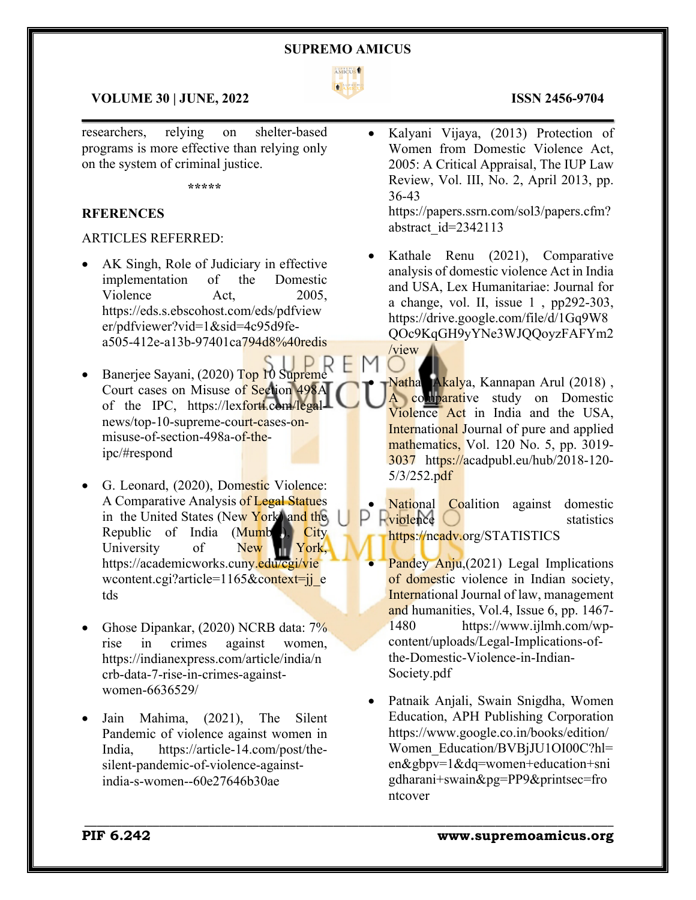

 $\mathcal{L}_\mathcal{L} = \mathcal{L}_\mathcal{L} = \mathcal{L}_\mathcal{L} = \mathcal{L}_\mathcal{L} = \mathcal{L}_\mathcal{L} = \mathcal{L}_\mathcal{L} = \mathcal{L}_\mathcal{L} = \mathcal{L}_\mathcal{L} = \mathcal{L}_\mathcal{L} = \mathcal{L}_\mathcal{L} = \mathcal{L}_\mathcal{L} = \mathcal{L}_\mathcal{L} = \mathcal{L}_\mathcal{L} = \mathcal{L}_\mathcal{L} = \mathcal{L}_\mathcal{L} = \mathcal{L}_\mathcal{L} = \mathcal{L}_\mathcal{L}$ 

H M

\_\_\_\_\_\_\_\_\_\_\_\_\_\_\_\_\_\_\_\_\_\_\_\_\_\_\_\_\_\_\_\_\_\_\_\_\_\_\_\_\_\_\_\_\_\_\_\_\_\_\_\_\_\_\_\_\_\_\_\_\_\_\_\_\_\_\_\_\_\_\_\_\_\_\_\_\_\_\_\_\_\_\_\_\_

### **VOLUME 30 | JUNE, 2022 ISSN 2456-9704**

researchers, relying on shelter-based programs is more effective than relying only on the system of criminal justice.

**\*\*\*\*\***

#### **RFERENCES**

#### ARTICLES REFERRED:

- AK Singh, Role of Judiciary in effective implementation of the Domestic Violence Act, 2005. https://eds.s.ebscohost.com/eds/pdfview er/pdfviewer?vid=1&sid=4c95d9fea505-412e-a13b-97401ca794d8%40redis
- Banerjee Sayani, (2020) Top 10 Supreme Court cases on Misuse of Section 498A of the IPC, https://lexforti.com/legalnews/top-10-supreme-court-cases-onmisuse-of-section-498a-of-theipc/#respond
- G. Leonard, (2020), Domestic Violence: A Comparative Analysis of Legal Statues in the United States (New York) and the Republic of India  $(Mumb$ ), City University of New York, https://academicworks.cuny.edu/cgi/vie wcontent.cgi?article=1165&context=jj\_e tds
- Ghose Dipankar, (2020) NCRB data: 7% rise in crimes against women, https://indianexpress.com/article/india/n crb-data-7-rise-in-crimes-againstwomen-6636529/
- Jain Mahima, (2021), The Silent Pandemic of violence against women in India, https://article-14.com/post/thesilent-pandemic-of-violence-againstindia-s-women--60e27646b30ae

• Kalyani Vijaya, (2013) Protection of Women from Domestic Violence Act, 2005: A Critical Appraisal, The IUP Law Review, Vol. III, No. 2, April 2013, pp. 36-43

https://papers.ssrn.com/sol3/papers.cfm? abstract\_id=2342113

Kathale Renu (2021), Comparative analysis of domestic violence Act in India and USA, Lex Humanitariae: Journal for a change, vol. II, issue 1 , pp292-303, https://drive.google.com/file/d/1Gq9W8 QOc9KqGH9yYNe3WJQQoyzFAFYm2 /view

• Nathan Akalya, Kannapan Arul (2018) , A comparative study on Domestic Violence Act in India and the USA, **International Journal of pure and applied** mathematics, Vol. 120 No. 5, pp. 3019-3037 https://acadpubl.eu/hub/2018-120- 5/3/252.pdf

**National Coalition against domestic**  $\blacktriangle$  violence  $\bigcirc$  statistics https://ncadv.org/STATISTICS

Pandey Anju, (2021) Legal Implications of domestic violence in Indian society, International Journal of law, management and humanities, Vol.4, Issue 6, pp. 1467- 1480 https://www.ijlmh.com/wpcontent/uploads/Legal-Implications-ofthe-Domestic-Violence-in-Indian-Society.pdf

• Patnaik Anjali, Swain Snigdha, Women Education, APH Publishing Corporation https://www.google.co.in/books/edition/ Women\_Education/BVBjJU1OI00C?hl= en&gbpv=1&dq=women+education+sni gdharani+swain&pg=PP9&printsec=fro ntcover